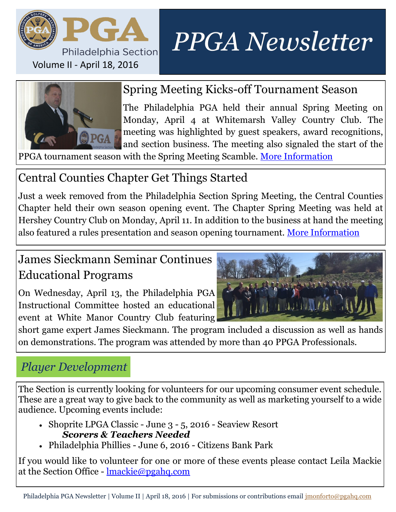

# *PPGA Newsletter*



### Spring Meeting Kicks-off Tournament Season

The Philadelphia PGA held their annual Spring Meeting on Monday, April 4 at Whitemarsh Valley Country Club. The meeting was highlighted by guest speakers, award recognitions, and section business. The meeting also signaled the start of the

PPGA tournament season with the Spring Meeting Scamble. [More Information](https://phpga.bluegolf.com/bluegolf/phpga/news/2016/04/06/annual-spring-meeting-kicksoff-ppga-tournament-season.htm)

# Central Counties Chapter Get Things Started

Just a week removed from the Philadelphia Section Spring Meeting, the Central Counties Chapter held their own season opening event. The Chapter Spring Meeting was held at Hershey Country Club on Monday, April 11. In addition to the business at hand the meeting also featured a rules presentation and season opening tournament. [More Information](file:///T:/Communications/Newsletters/2016 Chapter Spring Meeting Summary.pdf)

# James Sieckmann Seminar Continues Educational Programs

On Wednesday, April 13, the Philadelphia PGA Instructional Committee hosted an educational event at White Manor Country Club featuring



short game expert James Sieckmann. The program included a discussion as well as hands on demonstrations. The program was attended by more than 40 PPGA Professionals.

# *Player Development*

The Section is currently looking for volunteers for our upcoming consumer event schedule. These are a great way to give back to the community as well as marketing yourself to a wide audience. Upcoming events include:

- Shoprite LPGA Classic June 3 5, 2016 Seaview Resort *Scorers & Teachers Needed*
- Philadelphia Phillies June 6, 2016 Citizens Bank Park

If you would like to volunteer for one or more of these events please contact Leila Mackie at the Section Office - [lmackie@pgahq.com](mailto:Shoprite%20LPGA%20Classic%20-%20June%203%20-%205,%202016%20-%20Seaview%20Resor)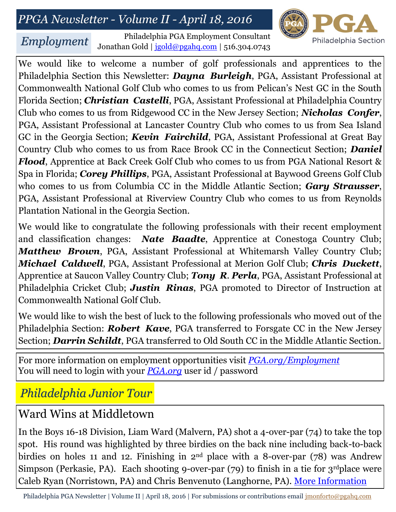# *PPGA Newsletter - Volume II - April 18, 2016*



*Employment*

Philadelphia PGA Employment Consultant Jonathan Gold | [jgold@pgahq.com](mailto:jgold@pgahq.com?subject=Philadelphia%20PGA%20Employment%20Question) | 516.304.0743

We would like to welcome a number of golf professionals and apprentices to the Philadelphia Section this Newsletter: *Dayna Burleigh*, PGA, Assistant Professional at Commonwealth National Golf Club who comes to us from Pelican's Nest GC in the South Florida Section; *Christian Castelli*, PGA, Assistant Professional at Philadelphia Country Club who comes to us from Ridgewood CC in the New Jersey Section; *Nicholas Confer*, PGA, Assistant Professional at Lancaster Country Club who comes to us from Sea Island GC in the Georgia Section; *Kevin Fairchild*, PGA, Assistant Professional at Great Bay Country Club who comes to us from Race Brook CC in the Connecticut Section; *Daniel Flood*, Apprentice at Back Creek Golf Club who comes to us from PGA National Resort & Spa in Florida; *Corey Phillips*, PGA, Assistant Professional at Baywood Greens Golf Club who comes to us from Columbia CC in the Middle Atlantic Section; *Gary Strausser*, PGA, Assistant Professional at Riverview Country Club who comes to us from Reynolds Plantation National in the Georgia Section.

We would like to congratulate the following professionals with their recent employment and classification changes: *Nate Baadte*, Apprentice at Conestoga Country Club; *Matthew Brown*, PGA, Assistant Professional at Whitemarsh Valley Country Club; *Michael Caldwell*, PGA, Assistant Professional at Merion Golf Club; *Chris Duckett*, Apprentice at Saucon Valley Country Club; *Tony R*. *Perla*, PGA, Assistant Professional at Philadelphia Cricket Club; *Justin Rinas*, PGA promoted to Director of Instruction at Commonwealth National Golf Club.

We would like to wish the best of luck to the following professionals who moved out of the Philadelphia Section: *Robert Kave*, PGA transferred to Forsgate CC in the New Jersey Section; *Darrin Schildt*, PGA transferred to Old South CC in the Middle Atlantic Section.

For more information on employment opportunities visit *[PGA.org/Employment](https://www.pga.org/employment)* You will need to login with your *[PGA.org](https://www.pga.org/)* user id / password

#### *Philadelphia Junior Tour*

#### Ward Wins at Middletown

In the Boys 16-18 Division, Liam Ward (Malvern, PA) shot a 4-over-par (74) to take the top spot. His round was highlighted by three birdies on the back nine including back-to-back birdies on holes 11 and 12. Finishing in  $2<sup>nd</sup>$  place with a 8-over-par (78) was Andrew Simpson (Perkasie, PA). Each shooting 9-over-par  $(79)$  to finish in a tie for 3<sup>rd</sup>place were Caleb Ryan (Norristown, PA) and Chris Benvenuto (Langhorne, PA). [More Information](https://phpgajr.bluegolf.com/bluegolf/phpgajr/news/2016/04/02/ward-gets-the-win-at-middletown-cc.htm?next=https%3A%2F%2Fphpgajr.bluegolf.com%2Fbluegolf%2Fphpgajr%2Fnews%2Findex.htm)

Philadelphia PGA Newsletter | Volume II | April 18, 2016 | For submissions or contributions email *[jmonforto@pgahq.com](mailto:jmonforto@pgahq.com?subject=Newsletter%20Information)*